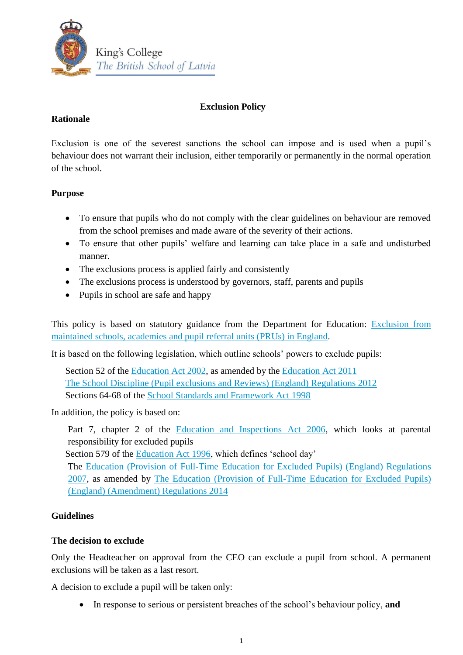

## **Exclusion Policy**

## **Rationale**

Exclusion is one of the severest sanctions the school can impose and is used when a pupil's behaviour does not warrant their inclusion, either temporarily or permanently in the normal operation of the school.

# **Purpose**

- To ensure that pupils who do not comply with the clear guidelines on behaviour are removed from the school premises and made aware of the severity of their actions.
- To ensure that other pupils' welfare and learning can take place in a safe and undisturbed manner.
- The exclusions process is applied fairly and consistently
- The exclusions process is understood by governors, staff, parents and pupils
- Pupils in school are safe and happy

This policy is based on statutory guidance from the Department for Education: [Exclusion from](https://www.gov.uk/government/publications/school-exclusion)  [maintained schools, academies and pupil referral units \(PRUs\) in England.](https://www.gov.uk/government/publications/school-exclusion)

It is based on the following legislation, which outline schools' powers to exclude pupils:

Section 52 of the [Education Act 2002,](http://www.legislation.gov.uk/ukpga/2002/32/section/52) as amended by the [Education Act 2011](http://www.legislation.gov.uk/ukpga/2011/21/contents/enacted) [The School Discipline \(Pupil exclusions and Reviews\) \(England\) Regulations 2012](http://www.legislation.gov.uk/uksi/2012/1033/made) Sections 64-68 of the [School Standards and Framework Act 1998](http://www.legislation.gov.uk/ukpga/1998/31)

In addition, the policy is based on:

Part 7, chapter 2 of the **Education and Inspections Act 2006**, which looks at parental responsibility for excluded pupils

Section 579 of the [Education Act 1996,](http://www.legislation.gov.uk/ukpga/1996/56/section/579) which defines 'school day'

The [Education \(Provision of Full-Time Education for Excluded Pupils\) \(England\) Regulations](http://www.legislation.gov.uk/uksi/2007/1870/contents/made)  [2007,](http://www.legislation.gov.uk/uksi/2007/1870/contents/made) as amended by [The Education \(Provision of Full-Time Education for Excluded Pupils\)](http://www.legislation.gov.uk/uksi/2014/3216/contents/made)  [\(England\) \(Amendment\) Regulations 2014](http://www.legislation.gov.uk/uksi/2014/3216/contents/made)

# **Guidelines**

### **The decision to exclude**

Only the Headteacher on approval from the CEO can exclude a pupil from school. A permanent exclusions will be taken as a last resort.

A decision to exclude a pupil will be taken only:

In response to serious or persistent breaches of the school's behaviour policy, **and**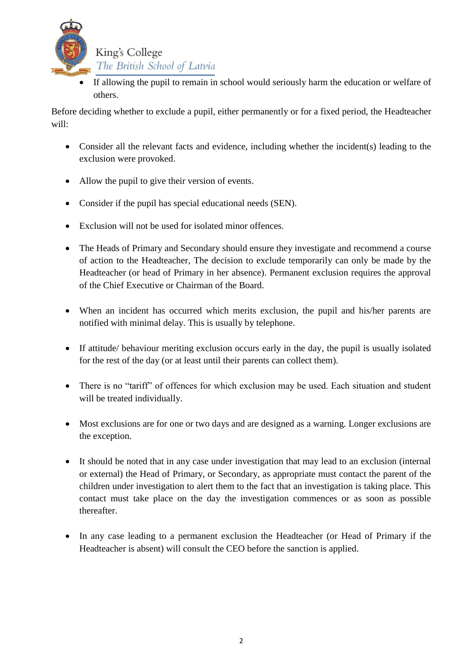

 If allowing the pupil to remain in school would seriously harm the education or welfare of others.

Before deciding whether to exclude a pupil, either permanently or for a fixed period, the Headteacher will:

- Consider all the relevant facts and evidence, including whether the incident(s) leading to the exclusion were provoked.
- Allow the pupil to give their version of events.
- Consider if the pupil has special educational needs (SEN).
- Exclusion will not be used for isolated minor offences.
- The Heads of Primary and Secondary should ensure they investigate and recommend a course of action to the Headteacher, The decision to exclude temporarily can only be made by the Headteacher (or head of Primary in her absence). Permanent exclusion requires the approval of the Chief Executive or Chairman of the Board.
- When an incident has occurred which merits exclusion, the pupil and his/her parents are notified with minimal delay. This is usually by telephone.
- If attitude/ behaviour meriting exclusion occurs early in the day, the pupil is usually isolated for the rest of the day (or at least until their parents can collect them).
- There is no "tariff" of offences for which exclusion may be used. Each situation and student will be treated individually.
- Most exclusions are for one or two days and are designed as a warning. Longer exclusions are the exception.
- It should be noted that in any case under investigation that may lead to an exclusion (internal or external) the Head of Primary, or Secondary, as appropriate must contact the parent of the children under investigation to alert them to the fact that an investigation is taking place. This contact must take place on the day the investigation commences or as soon as possible thereafter.
- In any case leading to a permanent exclusion the Headteacher (or Head of Primary if the Headteacher is absent) will consult the CEO before the sanction is applied.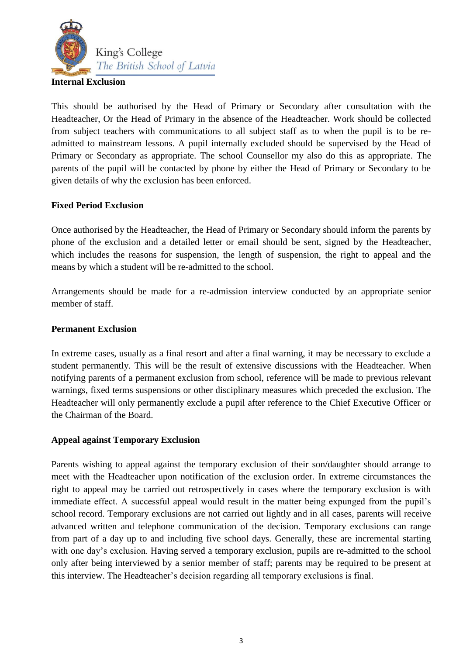

### **Internal Exclusion**

This should be authorised by the Head of Primary or Secondary after consultation with the Headteacher, Or the Head of Primary in the absence of the Headteacher. Work should be collected from subject teachers with communications to all subject staff as to when the pupil is to be readmitted to mainstream lessons. A pupil internally excluded should be supervised by the Head of Primary or Secondary as appropriate. The school Counsellor my also do this as appropriate. The parents of the pupil will be contacted by phone by either the Head of Primary or Secondary to be given details of why the exclusion has been enforced.

### **Fixed Period Exclusion**

Once authorised by the Headteacher, the Head of Primary or Secondary should inform the parents by phone of the exclusion and a detailed letter or email should be sent, signed by the Headteacher, which includes the reasons for suspension, the length of suspension, the right to appeal and the means by which a student will be re-admitted to the school.

Arrangements should be made for a re-admission interview conducted by an appropriate senior member of staff.

#### **Permanent Exclusion**

In extreme cases, usually as a final resort and after a final warning, it may be necessary to exclude a student permanently. This will be the result of extensive discussions with the Headteacher. When notifying parents of a permanent exclusion from school, reference will be made to previous relevant warnings, fixed terms suspensions or other disciplinary measures which preceded the exclusion. The Headteacher will only permanently exclude a pupil after reference to the Chief Executive Officer or the Chairman of the Board.

### **Appeal against Temporary Exclusion**

Parents wishing to appeal against the temporary exclusion of their son/daughter should arrange to meet with the Headteacher upon notification of the exclusion order. In extreme circumstances the right to appeal may be carried out retrospectively in cases where the temporary exclusion is with immediate effect. A successful appeal would result in the matter being expunged from the pupil's school record. Temporary exclusions are not carried out lightly and in all cases, parents will receive advanced written and telephone communication of the decision. Temporary exclusions can range from part of a day up to and including five school days. Generally, these are incremental starting with one day's exclusion. Having served a temporary exclusion, pupils are re-admitted to the school only after being interviewed by a senior member of staff; parents may be required to be present at this interview. The Headteacher's decision regarding all temporary exclusions is final.